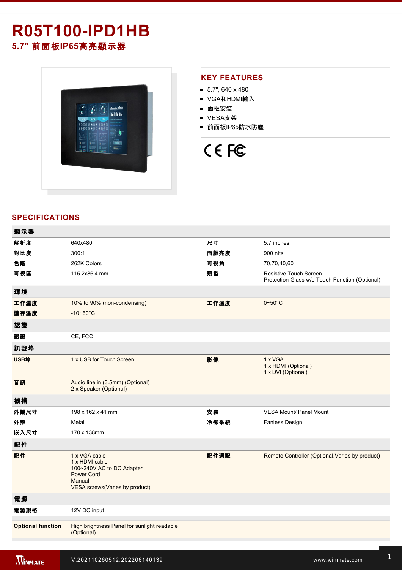# **R05T100-IPD1HB**

**5.7"** 前面板**IP65**高亮顯示器



### **KEY FEATURES**

- $\blacksquare$  5.7", 640 x 480
- VGA和HDMI輸入
- 面板安裝
- VESA支架
- 前面板IP65防水防塵

# CE FC

## **SPECIFICATIONS**

| 顯示器                      |                                                                                                                               |      |                                                                                 |
|--------------------------|-------------------------------------------------------------------------------------------------------------------------------|------|---------------------------------------------------------------------------------|
| 解析度                      | 640x480                                                                                                                       | 尺寸   | 5.7 inches                                                                      |
| 對比度                      | 300:1                                                                                                                         | 面版亮度 | 900 nits                                                                        |
| 色階                       | 262K Colors                                                                                                                   | 可視角  | 70,70,40,60                                                                     |
| 可視區                      | 115.2x86.4 mm                                                                                                                 | 類型   | <b>Resistive Touch Screen</b><br>Protection Glass w/o Touch Function (Optional) |
| 環境                       |                                                                                                                               |      |                                                                                 |
| 工作濕度                     | 10% to 90% (non-condensing)                                                                                                   | 工作溫度 | $0 - 50^{\circ}$ C                                                              |
| 儲存溫度                     | $-10 - 60^{\circ}$ C                                                                                                          |      |                                                                                 |
| 認證                       |                                                                                                                               |      |                                                                                 |
| 認證                       | CE, FCC                                                                                                                       |      |                                                                                 |
| 訊號埠                      |                                                                                                                               |      |                                                                                 |
| USB埠                     | 1 x USB for Touch Screen                                                                                                      | 影像   | 1 x VGA<br>1 x HDMI (Optional)<br>1 x DVI (Optional)                            |
| 音訊                       | Audio line in (3.5mm) (Optional)<br>2 x Speaker (Optional)                                                                    |      |                                                                                 |
| 機構                       |                                                                                                                               |      |                                                                                 |
| 外觀尺寸                     | 198 x 162 x 41 mm                                                                                                             | 安裝   | <b>VESA Mount/ Panel Mount</b>                                                  |
| 外殼                       | Metal                                                                                                                         | 冷卻系統 | <b>Fanless Design</b>                                                           |
| 嵌入尺寸                     | 170 x 138mm                                                                                                                   |      |                                                                                 |
| 配件                       |                                                                                                                               |      |                                                                                 |
| 配件                       | 1 x VGA cable<br>1 x HDMI cable<br>100~240V AC to DC Adapter<br><b>Power Cord</b><br>Manual<br>VESA screws(Varies by product) | 配件選配 | Remote Controller (Optional, Varies by product)                                 |
| 電源                       |                                                                                                                               |      |                                                                                 |
| 電源規格                     | 12V DC input                                                                                                                  |      |                                                                                 |
| <b>Optional function</b> | High brightness Panel for sunlight readable<br>(Optional)                                                                     |      |                                                                                 |
|                          |                                                                                                                               |      |                                                                                 |